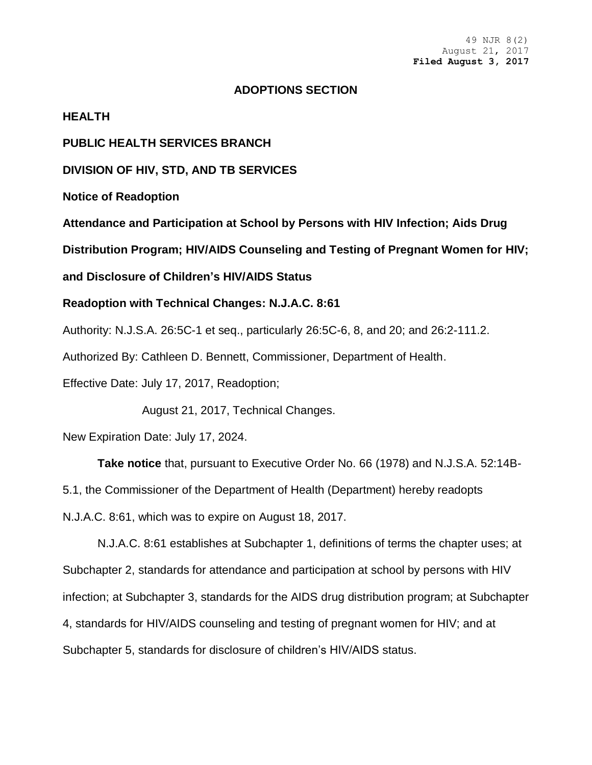#### **ADOPTIONS SECTION**

**HEALTH**

**PUBLIC HEALTH SERVICES BRANCH**

**DIVISION OF HIV, STD, AND TB SERVICES**

**Notice of Readoption**

**Attendance and Participation at School by Persons with HIV Infection; Aids Drug** 

**Distribution Program; HIV/AIDS Counseling and Testing of Pregnant Women for HIV;** 

**and Disclosure of Children's HIV/AIDS Status**

**Readoption with Technical Changes: N.J.A.C. 8:61**

Authority: N.J.S.A. 26:5C-1 et seq., particularly 26:5C-6, 8, and 20; and 26:2-111.2.

Authorized By: Cathleen D. Bennett, Commissioner, Department of Health.

Effective Date: July 17, 2017, Readoption;

August 21, 2017, Technical Changes.

New Expiration Date: July 17, 2024.

**Take notice** that, pursuant to Executive Order No. 66 (1978) and N.J.S.A. 52:14B-

5.1, the Commissioner of the Department of Health (Department) hereby readopts

N.J.A.C. 8:61, which was to expire on August 18, 2017.

N.J.A.C. 8:61 establishes at Subchapter 1, definitions of terms the chapter uses; at Subchapter 2, standards for attendance and participation at school by persons with HIV infection; at Subchapter 3, standards for the AIDS drug distribution program; at Subchapter 4, standards for HIV/AIDS counseling and testing of pregnant women for HIV; and at Subchapter 5, standards for disclosure of children's HIV/AIDS status.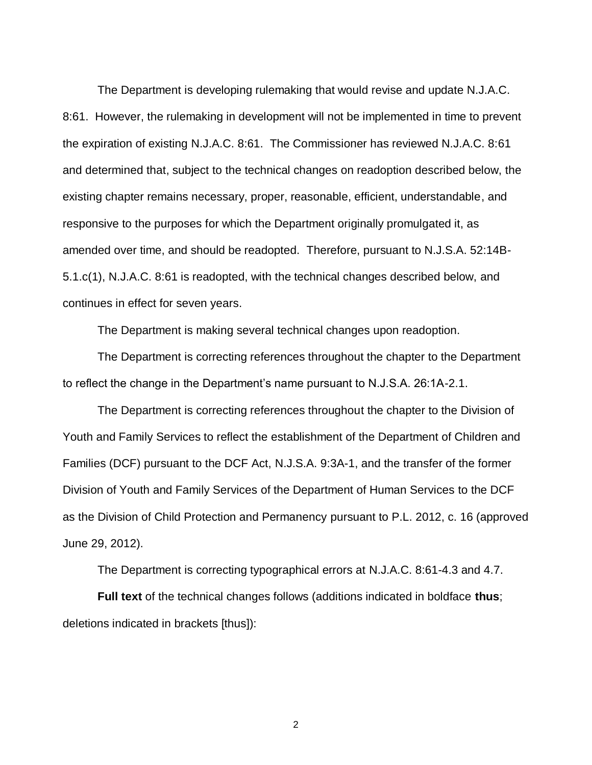The Department is developing rulemaking that would revise and update N.J.A.C. 8:61. However, the rulemaking in development will not be implemented in time to prevent the expiration of existing N.J.A.C. 8:61. The Commissioner has reviewed N.J.A.C. 8:61 and determined that, subject to the technical changes on readoption described below, the existing chapter remains necessary, proper, reasonable, efficient, understandable, and responsive to the purposes for which the Department originally promulgated it, as amended over time, and should be readopted. Therefore, pursuant to N.J.S.A. 52:14B-5.1.c(1), N.J.A.C. 8:61 is readopted, with the technical changes described below, and continues in effect for seven years.

The Department is making several technical changes upon readoption.

The Department is correcting references throughout the chapter to the Department to reflect the change in the Department's name pursuant to N.J.S.A. 26:1A-2.1.

The Department is correcting references throughout the chapter to the Division of Youth and Family Services to reflect the establishment of the Department of Children and Families (DCF) pursuant to the DCF Act, N.J.S.A. 9:3A-1, and the transfer of the former Division of Youth and Family Services of the Department of Human Services to the DCF as the Division of Child Protection and Permanency pursuant to P.L. 2012, c. 16 (approved June 29, 2012).

The Department is correcting typographical errors at N.J.A.C. 8:61-4.3 and 4.7.

**Full text** of the technical changes follows (additions indicated in boldface **thus**; deletions indicated in brackets [thus]):

2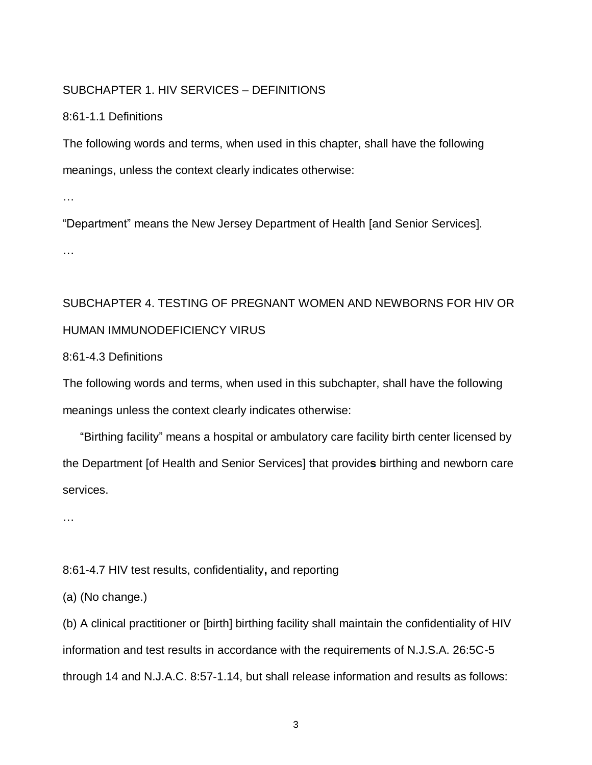## SUBCHAPTER 1. HIV SERVICES – DEFINITIONS

### 8:61-1.1 Definitions

The following words and terms, when used in this chapter, shall have the following meanings, unless the context clearly indicates otherwise:

…

"Department" means the New Jersey Department of Health [and Senior Services].

…

# SUBCHAPTER 4. TESTING OF PREGNANT WOMEN AND NEWBORNS FOR HIV OR HUMAN IMMUNODEFICIENCY VIRUS

## 8:61-4.3 Definitions

The following words and terms, when used in this subchapter, shall have the following meanings unless the context clearly indicates otherwise:

"Birthing facility" means a hospital or ambulatory care facility birth center licensed by the Department [of Health and Senior Services] that provide**s** birthing and newborn care services.

…

## 8:61-4.7 HIV test results, confidentiality**,** and reporting

(a) (No change.)

(b) A clinical practitioner or [birth] birthing facility shall maintain the confidentiality of HIV information and test results in accordance with the requirements of N.J.S.A. 26:5C-5 through 14 and N.J.A.C. 8:57-1.14, but shall release information and results as follows:

3